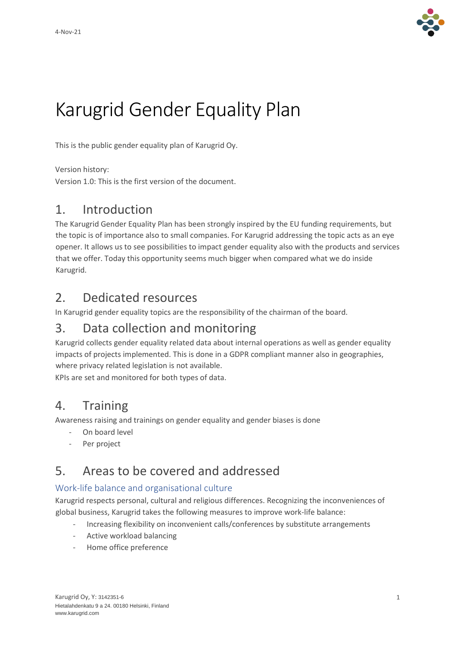

# Karugrid Gender Equality Plan

This is the public gender equality plan of Karugrid Oy.

Version history:

Version 1.0: This is the first version of the document.

## 1. Introduction

The Karugrid Gender Equality Plan has been strongly inspired by the EU funding requirements, but the topic is of importance also to small companies. For Karugrid addressing the topic acts as an eye opener. It allows us to see possibilities to impact gender equality also with the products and services that we offer. Today this opportunity seems much bigger when compared what we do inside Karugrid.

## 2. Dedicated resources

In Karugrid gender equality topics are the responsibility of the chairman of the board.

## 3. Data collection and monitoring

Karugrid collects gender equality related data about internal operations as well as gender equality impacts of projects implemented. This is done in a GDPR compliant manner also in geographies, where privacy related legislation is not available.

KPIs are set and monitored for both types of data.

## 4. Training

Awareness raising and trainings on gender equality and gender biases is done

- On board level
- Per project

## 5. Areas to be covered and addressed

### Work-life balance and organisational culture

Karugrid respects personal, cultural and religious differences. Recognizing the inconveniences of global business, Karugrid takes the following measures to improve work-life balance:

- Increasing flexibility on inconvenient calls/conferences by substitute arrangements
- Active workload balancing
- Home office preference